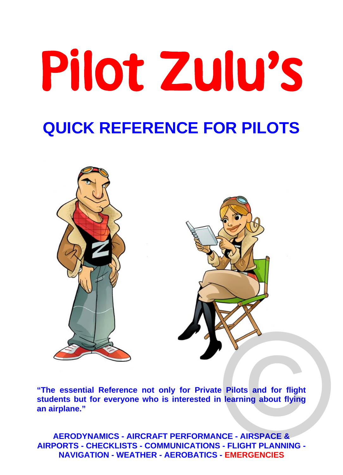# Pilot Zulu's **QUICK REFERENCE FOR PILOTS**



**"The essential Reference not only for Private Pilots and for flight students but for everyone who is interested in learning about flying an airplane."** 

**AERODYNAMICS - AIRCRAFT PERFORMANCE - AIRSPACE & AIRPORTS - CHECKLISTS - COMMUNICATIONS - FLIGHT PLANNING - NAVIGATION - WEATHER - AEROBATICS - EMERGENCIES**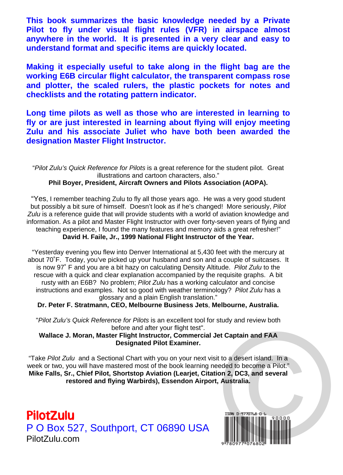**This book summarizes the basic knowledge needed by a Private Pilot to fly under visual flight rules (VFR) in airspace almost anywhere in the world. It is presented in a very clear and easy to understand format and specific items are quickly located.** 

**Making it especially useful to take along in the flight bag are the working E6B circular flight calculator, the transparent compass rose and plotter, the scaled rulers, the plastic pockets for notes and checklists and the rotating pattern indicator.** 

**Long time pilots as well as those who are interested in learning to fly or are just interested in learning about flying will enjoy meeting Zulu and his associate Juliet who have both been awarded the designation Master Flight Instructor.** 

"*Pilot Zulu's Quick Reference for Pilots* is a great reference for the student pilot. Great illustrations and cartoon characters, also."

#### **Phil Boyer, President, Aircraft Owners and Pilots Association (AOPA).**

"Yes, I remember teaching Zulu to fly all those years ago. He was a very good student but possibly a bit sure of himself. Doesn't look as if he's changed! More seriously, *Pilot Zulu* is a reference guide that will provide students with a world of aviation knowledge and information. As a pilot and Master Flight Instructor with over forty-seven years of flying and teaching experience, I found the many features and memory aids a great refresher!" **David H. Faile, Jr., 1999 National Flight Instructor of the Year.**

"Yesterday evening you flew into Denver International at 5,430 feet with the mercury at about 70˚F. Today, you've picked up your husband and son and a couple of suitcases. It is now 97˚ F and you are a bit hazy on calculating Density Altitude. *Pilot Zulu* to the rescue with a quick and clear explanation accompanied by the requisite graphs. A bit rusty with an E6B? No problem; *Pilot Zulu* has a working calculator and concise instructions and examples. Not so good with weather terminology? *Pilot Zulu* has a glossary and a plain English translation."

**Dr. Peter F. Stratmann, CEO, Melbourne Business Jets**, **Melbourne, Australia.** 

"*Pilot Zulu's Quick Reference for Pilots* is an excellent tool for study and review both before and after your flight test".

**Wallace J. Moran, Master Flight Instructor, Commercial Jet Captain and FAA Designated Pilot Examiner.** 

"Take *Pilot Zulu* and a Sectional Chart with you on your next visit to a desert island. In a week or two, you will have mastered most of the book learning needed to become a Pilot." **Mike Falls, Sr., Chief Pilot, Shortstop Aviation (Learjet, Citation 2, DC3, and several restored and flying Warbirds), Essendon Airport, Australia.** 

PilotZulu P O Box 527, Southport, CT 06890 USA PilotZulu.com

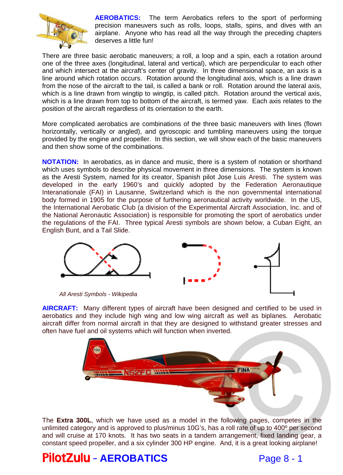

**AEROBATICS:** The term Aerobatics refers to the sport of performing precision maneuvers such as rolls, loops, stalls, spins, and dives with an airplane. Anyone who has read all the way through the preceding chapters deserves a little fun!

There are three basic aerobatic maneuvers; a roll, a loop and a spin, each a rotation around one of the three axes (longitudinal, lateral and vertical), which are perpendicular to each other and which intersect at the aircraft's center of gravity. In three dimensional space, an axis is a line around which rotation occurs. Rotation around the longitudinal axis, which is a line drawn from the nose of the aircraft to the tail, is called a bank or roll. Rotation around the lateral axis, which is a line drawn from wingtip to wingtip, is called pitch. Rotation around the vertical axis, which is a line drawn from top to bottom of the aircraft, is termed yaw. Each axis relates to the position of the aircraft regardless of its orientation to the earth.

More complicated aerobatics are combinations of the three basic maneuvers with lines (flown horizontally, vertically or angled), and gyroscopic and tumbling maneuvers using the torque provided by the engine and propeller. In this section, we will show each of the basic maneuvers and then show some of the combinations.

**NOTATION:** In aerobatics, as in dance and music, there is a system of notation or shorthand which uses symbols to describe physical movement in three dimensions. The system is known as the Aresti System, named for its creator, Spanish pilot Jose Luis Aresti. The system was developed in the early 1960's and quickly adopted by the Federation Aeronautique Interanationale (FAI) in Lausanne, Switzerland which is the non governmental international body formed in 1905 for the purpose of furthering aeronautical activity worldwide. In the US, the International Aerobatic Club (a division of the Experimental Aircraft Association, Inc. and of the National Aeronautic Association) is responsible for promoting the sport of aerobatics under the regulations of the FAI. Three typical Aresti symbols are shown below, a Cuban Eight, an English Bunt, and a Tail Slide.



*All Aresti Symbols - Wikipedia*

**AIRCRAFT:** Many different types of aircraft have been designed and certified to be used in aerobatics and they include high wing and low wing aircraft as well as biplanes. Aerobatic aircraft differ from normal aircraft in that they are designed to withstand greater stresses and often have fuel and oil systems which will function when inverted.



The **Extra 300L**, which we have used as a model in the following pages, competes in the unlimited category and is approved to plus/minus 10G's, has a roll rate of up to 400º per second and will cruise at 170 knots. It has two seats in a tandem arrangement, fixed landing gear, a constant speed propeller, and a six cylinder 300 HP engine. And, it is a great looking airplane!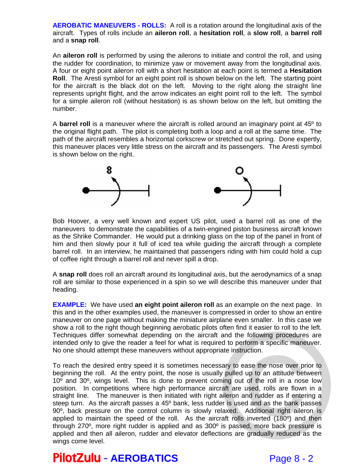**AEROBATIC MANEUVERS - ROLLS:** A roll is a rotation around the longitudinal axis of the aircraft. Types of rolls include an **aileron roll**, a **hesitation roll**, a **slow roll**, a **barrel roll** and a **snap roll**.

An **aileron roll** is performed by using the ailerons to initiate and control the roll, and using the rudder for coordination, to minimize yaw or movement away from the longitudinal axis. A four or eight point aileron roll with a short hesitation at each point is termed a **Hesitation Roll**. The Aresti symbol for an eight point roll is shown below on the left. The starting point for the aircraft is the black dot on the left. Moving to the right along the straight line represents upright flight, and the arrow indicates an eight point roll to the left. The symbol for a simple aileron roll (without hesitation) is as shown below on the left, but omitting the number.

A **barrel roll** is a maneuver where the aircraft is rolled around an imaginary point at 45º to the original flight path. The pilot is completing both a loop and a roll at the same time. The path of the aircraft resembles a horizontal corkscrew or stretched out spring. Done expertly, this maneuver places very little stress on the aircraft and its passengers. The Aresti symbol is shown below on the right.



Bob Hoover, a very well known and expert US pilot, used a barrel roll as one of the maneuvers to demonstrate the capabilities of a twin-engined piston business aircraft known as the Shrike Commander. He would put a drinking glass on the top of the panel in front of him and then slowly pour it full of iced tea while guiding the aircraft through a complete barrel roll. In an interview, he maintained that passengers riding with him could hold a cup of coffee right through a barrel roll and never spill a drop.

A **snap roll** does roll an aircraft around its longitudinal axis, but the aerodynamics of a snap roll are similar to those experienced in a spin so we will describe this maneuver under that heading.

**EXAMPLE:** We have used an eight point aileron roll as an example on the next page. In this and in the other examples used, the maneuver is compressed in order to show an entire maneuver on one page without making the miniature airplane even smaller. In this case we show a roll to the right though beginning aerobatic pilots often find it easier to roll to the left. Techniques differ somewhat depending on the aircraft and the following procedures are intended only to give the reader a feel for what is required to perform a specific maneuver. No one should attempt these maneuvers without appropriate instruction.

To reach the desired entry speed it is sometimes necessary to ease the nose over prior to beginning the roll. At the entry point, the nose is usually pulled up to an attitude between  $10<sup>o</sup>$  and  $30<sup>o</sup>$ , wings level. This is done to prevent coming out of the roll in a nose low position. In competitions where high performance aircraft are used, rolls are flown in a straight line. The maneuver is then initiated with right aileron and rudder as if entering a steep turn. As the aircraft passes a 45º bank, less rudder is used and as the bank passes 90º, back pressure on the control column is slowly relaxed. Additional right aileron is applied to maintain the speed of the roll. As the aircraft rolls inverted (180º) and then through 270º, more right rudder is applied and as 300º is passed, more back pressure is applied and then all aileron, rudder and elevator deflections are gradually reduced as the wings come level. Then into it easier to form to the left.<br>and the following procedures are<br>d to perform a specific maneuver.<br>te instruction.<br>ary to ease the nose over prior to<br>pulled up to an attitude between<br>ing out of the roll in a nose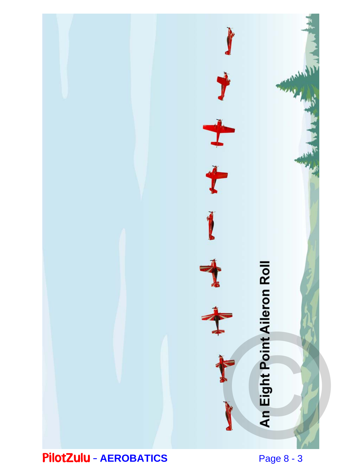

PilotZulu – **AEROBATICS** 

Page 8 - 3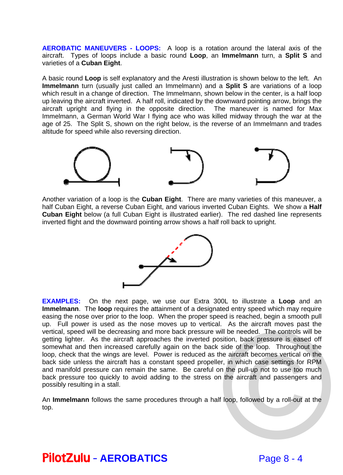**AEROBATIC MANEUVERS - LOOPS:** A loop is a rotation around the lateral axis of the aircraft. Types of loops include a basic round **Loop**, an **Immelmann** turn, a **Split S** and varieties of a **Cuban Eight**.

A basic round **Loop** is self explanatory and the Aresti illustration is shown below to the left. An **Immelmann** turn (usually just called an Immelmann) and a **Split S** are variations of a loop which result in a change of direction. The Immelmann, shown below in the center, is a half loop up leaving the aircraft inverted. A half roll, indicated by the downward pointing arrow, brings the aircraft upright and flying in the opposite direction. The maneuver is named for Max Immelmann, a German World War I flying ace who was killed midway through the war at the age of 25. The Split S, shown on the right below, is the reverse of an Immelmann and trades altitude for speed while also reversing direction.



Another variation of a loop is the **Cuban Eight**. There are many varieties of this maneuver, a half Cuban Eight, a reverse Cuban Eight, and various inverted Cuban Eights. We show a **Half Cuban Eight** below (a full Cuban Eight is illustrated earlier). The red dashed line represents inverted flight and the downward pointing arrow shows a half roll back to upright.



**EXAMPLES:** On the next page, we use our Extra 300L to illustrate a **Loop** and an **Immelmann**. The **loop** requires the attainment of a designated entry speed which may require easing the nose over prior to the loop. When the proper speed is reached, begin a smooth pull up. Full power is used as the nose moves up to vertical. As the aircraft moves past the vertical, speed will be decreasing and more back pressure will be needed. The controls will be getting lighter. As the aircraft approaches the inverted position, back pressure is eased off somewhat and then increased carefully again on the back side of the loop. Throughout the loop, check that the wings are level. Power is reduced as the aircraft becomes vertical on the back side unless the aircraft has a constant speed propeller, in which case settings for RPM and manifold pressure can remain the same. Be careful on the pull-up not to use too much back pressure too quickly to avoid adding to the stress on the aircraft and passengers and possibly resulting in a stall. II be needed. The controls will be<br>ition, back pressure is eased off<br>side of the loop. Throughout the<br>e aircraft becomes vertical on the<br>i, in which case settings for RPM<br>the pull-up not to use too much<br>the aircraft and pa

An **Immelmann** follows the same procedures through a half loop, followed by a roll-out at the top.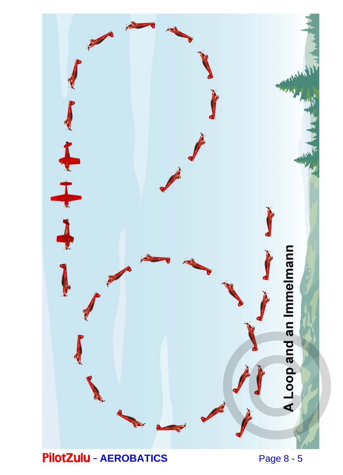

PilotZulu – **AEROBATICS** 

Page 8 - 5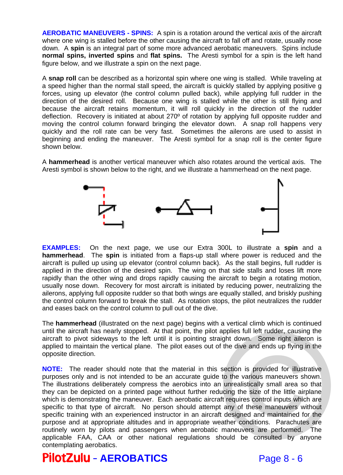**AEROBATIC MANEUVERS - SPINS:** A spin is a rotation around the vertical axis of the aircraft where one wing is stalled before the other causing the aircraft to fall off and rotate, usually nose down. A **spin** is an integral part of some more advanced aerobatic maneuvers. Spins include **normal spins, inverted spins** and **flat spins.** The Aresti symbol for a spin is the left hand figure below, and we illustrate a spin on the next page.

A **snap roll** can be described as a horizontal spin where one wing is stalled. While traveling at a speed higher than the normal stall speed, the aircraft is quickly stalled by applying positive g forces, using up elevator (the control column pulled back), while applying full rudder in the direction of the desired roll. Because one wing is stalled while the other is still flying and because the aircraft retains momentum, it will roll quickly in the direction of the rudder deflection. Recovery is initiated at about 270º of rotation by applying full opposite rudder and moving the control column forward bringing the elevator down. A snap roll happens very quickly and the roll rate can be very fast. Sometimes the ailerons are used to assist in beginning and ending the maneuver. The Aresti symbol for a snap roll is the center figure shown below.

A **hammerhead** is another vertical maneuver which also rotates around the vertical axis. The Aresti symbol is shown below to the right, and we illustrate a hammerhead on the next page.



**EXAMPLES:** On the next page, we use our Extra 300L to illustrate a **spin** and a **hammerhead**. The **spin** is initiated from a flaps-up stall where power is reduced and the aircraft is pulled up using up elevator (control column back). As the stall begins, full rudder is applied in the direction of the desired spin. The wing on that side stalls and loses lift more rapidly than the other wing and drops rapidly causing the aircraft to begin a rotating motion, usually nose down. Recovery for most aircraft is initiated by reducing power, neutralizing the ailerons, applying full opposite rudder so that both wings are equally stalled, and briskly pushing the control column forward to break the stall. As rotation stops, the pilot neutralizes the rudder and eases back on the control column to pull out of the dive.

The **hammerhead** (illustrated on the next page) begins with a vertical climb which is continued until the aircraft has nearly stopped. At that point, the pilot applies full left rudder, causing the aircraft to pivot sideways to the left until it is pointing straight down. Some right aileron is applied to maintain the vertical plane. The pilot eases out of the dive and ends up flying in the opposite direction.

**NOTE:** The reader should note that the material in this section is provided for illustrative purposes only and is not intended to be an accurate guide to the various maneuvers shown. The illustrations deliberately compress the aerobics into an unrealistically small area so that they can be depicted on a printed page without further reducing the size of the little airplane which is demonstrating the maneuver. Each aerobatic aircraft requires control inputs which are specific to that type of aircraft. No person should attempt any of these maneuvers without specific training with an experienced instructor in an aircraft designed and maintained for the purpose and at appropriate altitudes and in appropriate weather conditions. Parachutes are routinely worn by pilots and passengers when aerobatic maneuvers are performed. The applicable FAA, CAA or other national regulations should be consulted by anyone contemplating aerobatics. pplies full left rudder, causing the<br>ght down. Some right aileron is<br>the dive and ends up flying in the<br>ection is provided for illustrative<br>to the various maneuvers shown.<br>unrealistically small area so that<br>cing the size o